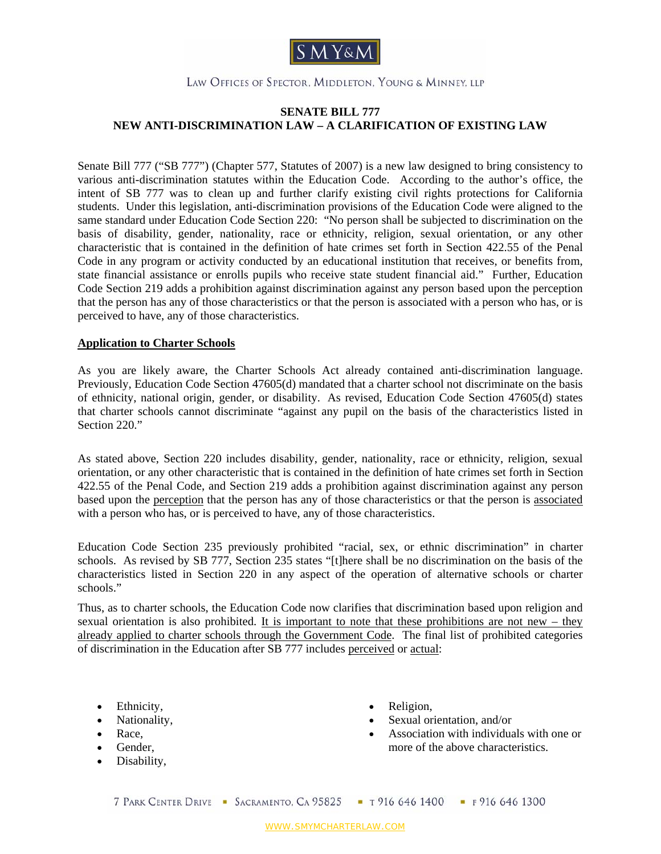

### LAW OFFICES OF SPECTOR, MIDDLETON, YOUNG & MINNEY, LLP

# **SENATE BILL 777 NEW ANTI-DISCRIMINATION LAW – A CLARIFICATION OF EXISTING LAW**

Senate Bill 777 ("SB 777") (Chapter 577, Statutes of 2007) is a new law designed to bring consistency to various anti-discrimination statutes within the Education Code. According to the author's office, the intent of SB 777 was to clean up and further clarify existing civil rights protections for California students. Under this legislation, anti-discrimination provisions of the Education Code were aligned to the same standard under Education Code Section 220: "No person shall be subjected to discrimination on the basis of disability, gender, nationality, race or ethnicity, religion, sexual orientation, or any other characteristic that is contained in the definition of hate crimes set forth in Section 422.55 of the Penal Code in any program or activity conducted by an educational institution that receives, or benefits from, state financial assistance or enrolls pupils who receive state student financial aid." Further, Education Code Section 219 adds a prohibition against discrimination against any person based upon the perception that the person has any of those characteristics or that the person is associated with a person who has, or is perceived to have, any of those characteristics.

#### **Application to Charter Schools**

As you are likely aware, the Charter Schools Act already contained anti-discrimination language. Previously, Education Code Section 47605(d) mandated that a charter school not discriminate on the basis of ethnicity, national origin, gender, or disability. As revised, Education Code Section 47605(d) states that charter schools cannot discriminate "against any pupil on the basis of the characteristics listed in Section 220<sup>"</sup>

As stated above, Section 220 includes disability, gender, nationality, race or ethnicity, religion, sexual orientation, or any other characteristic that is contained in the definition of hate crimes set forth in Section 422.55 of the Penal Code, and Section 219 adds a prohibition against discrimination against any person based upon the perception that the person has any of those characteristics or that the person is associated with a person who has, or is perceived to have, any of those characteristics.

Education Code Section 235 previously prohibited "racial, sex, or ethnic discrimination" in charter schools. As revised by SB 777, Section 235 states "[t]here shall be no discrimination on the basis of the characteristics listed in Section 220 in any aspect of the operation of alternative schools or charter schools."

Thus, as to charter schools, the Education Code now clarifies that discrimination based upon religion and sexual orientation is also prohibited. It is important to note that these prohibitions are not new – they already applied to charter schools through the Government Code. The final list of prohibited categories of discrimination in the Education after SB 777 includes perceived or actual:

- Ethnicity,
- Nationality,
- Race,
- Gender,
- Disability,
- Religion,
- Sexual orientation, and/or
- Association with individuals with one or more of the above characteristics.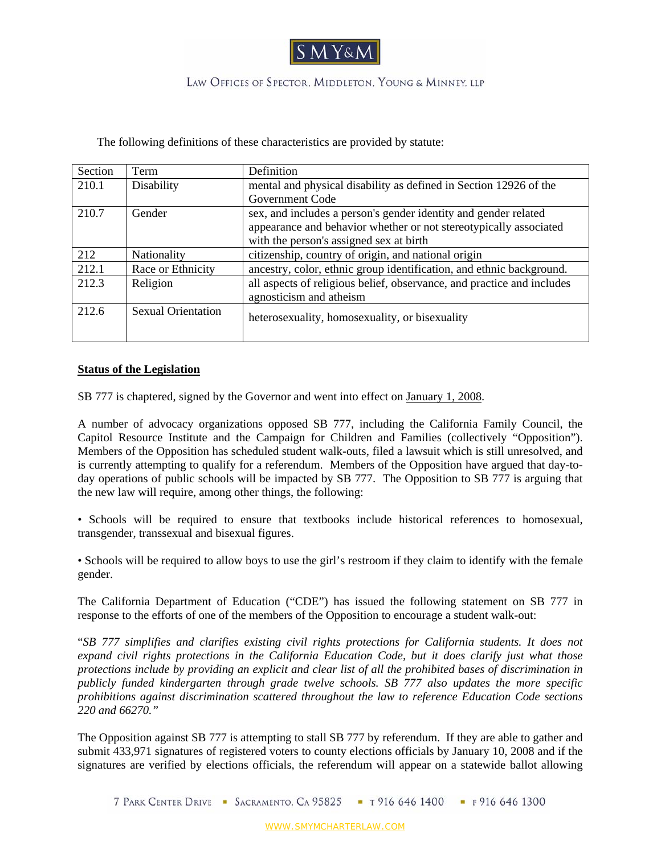

# LAW OFFICES OF SPECTOR, MIDDLETON, YOUNG & MINNEY, LLP

The following definitions of these characteristics are provided by statute:

| Section | Term                      | Definition                                                             |
|---------|---------------------------|------------------------------------------------------------------------|
| 210.1   | Disability                | mental and physical disability as defined in Section 12926 of the      |
|         |                           | Government Code                                                        |
| 210.7   | Gender                    | sex, and includes a person's gender identity and gender related        |
|         |                           | appearance and behavior whether or not stereotypically associated      |
|         |                           | with the person's assigned sex at birth                                |
| 212     | Nationality               | citizenship, country of origin, and national origin                    |
| 212.1   | Race or Ethnicity         | ancestry, color, ethnic group identification, and ethnic background.   |
| 212.3   | Religion                  | all aspects of religious belief, observance, and practice and includes |
|         |                           | agnosticism and atheism                                                |
| 212.6   | <b>Sexual Orientation</b> | heterosexuality, homosexuality, or bisexuality                         |
|         |                           |                                                                        |

#### **Status of the Legislation**

SB 777 is chaptered, signed by the Governor and went into effect on January 1, 2008.

A number of advocacy organizations opposed SB 777, including the California Family Council, the Capitol Resource Institute and the Campaign for Children and Families (collectively "Opposition"). Members of the Opposition has scheduled student walk-outs, filed a lawsuit which is still unresolved, and is currently attempting to qualify for a referendum. Members of the Opposition have argued that day-today operations of public schools will be impacted by SB 777. The Opposition to SB 777 is arguing that the new law will require, among other things, the following:

• Schools will be required to ensure that textbooks include historical references to homosexual, transgender, transsexual and bisexual figures.

• Schools will be required to allow boys to use the girl's restroom if they claim to identify with the female gender.

The California Department of Education ("CDE") has issued the following statement on SB 777 in response to the efforts of one of the members of the Opposition to encourage a student walk-out:

"*SB 777 simplifies and clarifies existing civil rights protections for California students. It does not expand civil rights protections in the California Education Code, but it does clarify just what those protections include by providing an explicit and clear list of all the prohibited bases of discrimination in publicly funded kindergarten through grade twelve schools. SB 777 also updates the more specific prohibitions against discrimination scattered throughout the law to reference Education Code sections 220 and 66270."* 

The Opposition against SB 777 is attempting to stall SB 777 by referendum. If they are able to gather and submit 433,971 signatures of registered voters to county elections officials by January 10, 2008 and if the signatures are verified by elections officials, the referendum will appear on a statewide ballot allowing